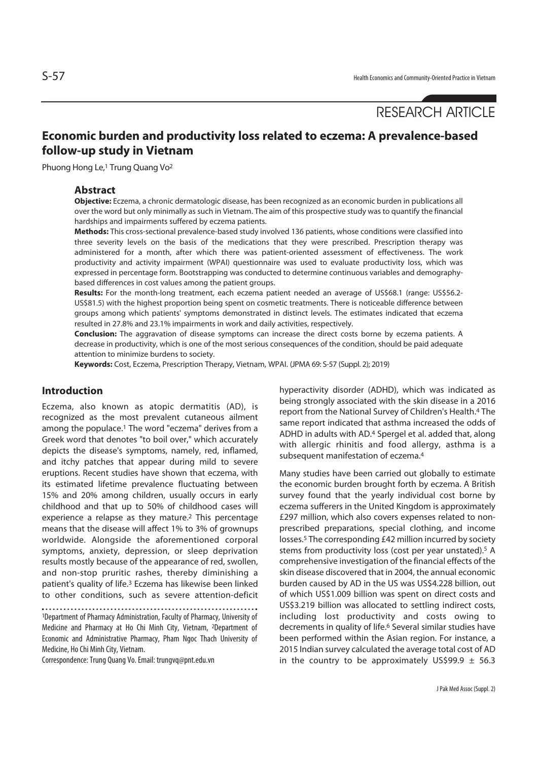# RESEARCH ARTICLE

## **Economic burden and productivity loss related to eczema: A prevalence-based follow-up study in Vietnam**

Phuong Hong Le,1 Trung Quang Vo2

#### **Abstract**

**Objective:** Eczema, a chronic dermatologic disease, has been recognized as an economic burden in publications all over the word but only minimally as such in Vietnam. The aim of this prospective study was to quantify the financial hardships and impairments suffered by eczema patients.

**Methods:** This cross-sectional prevalence-based study involved 136 patients, whose conditions were classified into three severity levels on the basis of the medications that they were prescribed. Prescription therapy was administered for a month, after which there was patient-oriented assessment of effectiveness. The work productivity and activity impairment (WPAI) questionnaire was used to evaluate productivity loss, which was expressed in percentage form. Bootstrapping was conducted to determine continuous variables and demographybased differences in cost values among the patient groups.

**Results:** For the month-long treatment, each eczema patient needed an average of US\$68.1 (range: US\$56.2- US\$81.5) with the highest proportion being spent on cosmetic treatments. There is noticeable difference between groups among which patients' symptoms demonstrated in distinct levels. The estimates indicated that eczema resulted in 27.8% and 23.1% impairments in work and daily activities, respectively.

**Conclusion:** The aggravation of disease symptoms can increase the direct costs borne by eczema patients. A decrease in productivity, which is one of the most serious consequences of the condition, should be paid adequate attention to minimize burdens to society.

**Keywords:** Cost, Eczema, Prescription Therapy, Vietnam, WPAI. (JPMA 69: S-57 (Suppl. 2); 2019)

### **Introduction**

Eczema, also known as atopic dermatitis (AD), is recognized as the most prevalent cutaneous ailment among the populace.1 The word "eczema" derives from a Greek word that denotes "to boil over," which accurately depicts the disease's symptoms, namely, red, inflamed, and itchy patches that appear during mild to severe eruptions. Recent studies have shown that eczema, with its estimated lifetime prevalence fluctuating between 15% and 20% among children, usually occurs in early childhood and that up to 50% of childhood cases will experience a relapse as they mature.2 This percentage means that the disease will affect 1% to 3% of grownups worldwide. Alongside the aforementioned corporal symptoms, anxiety, depression, or sleep deprivation results mostly because of the appearance of red, swollen, and non-stop pruritic rashes, thereby diminishing a patient's quality of life.3 Eczema has likewise been linked to other conditions, such as severe attention-deficit

1Department of Pharmacy Administration, Faculty of Pharmacy, University of Medicine and Pharmacy at Ho Chi Minh City, Vietnam, 2Department of Economic and Administrative Pharmacy, Pham Ngoc Thach University of Medicine, Ho Chi Minh City, Vietnam.

Correspondence: Trung Quang Vo. Email: trungvq@pnt.edu.vn

hyperactivity disorder (ADHD), which was indicated as being strongly associated with the skin disease in a 2016 report from the National Survey of Children's Health.4 The same report indicated that asthma increased the odds of ADHD in adults with AD.4 Spergel et al. added that, along with allergic rhinitis and food allergy, asthma is a subsequent manifestation of eczema.4

Many studies have been carried out globally to estimate the economic burden brought forth by eczema. A British survey found that the yearly individual cost borne by eczema sufferers in the United Kingdom is approximately £297 million, which also covers expenses related to nonprescribed preparations, special clothing, and income losses.5 The corresponding £42 million incurred by society stems from productivity loss (cost per year unstated).5 A comprehensive investigation of the financial effects of the skin disease discovered that in 2004, the annual economic burden caused by AD in the US was US\$4.228 billion, out of which US\$1.009 billion was spent on direct costs and US\$3.219 billion was allocated to settling indirect costs, including lost productivity and costs owing to decrements in quality of life.<sup>6</sup> Several similar studies have been performed within the Asian region. For instance, a 2015 Indian survey calculated the average total cost of AD in the country to be approximately US\$99.9  $\pm$  56.3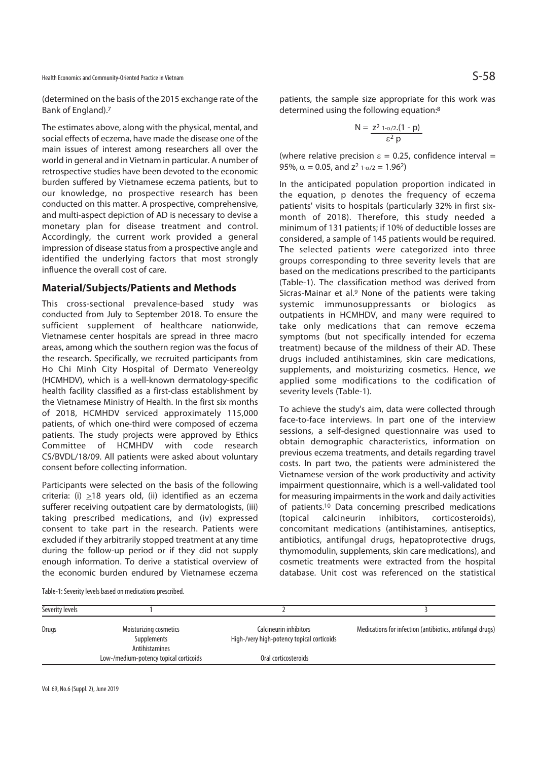Health Economics and Community-Oriented Practice in Vietnam  $S$ 

(determined on the basis of the 2015 exchange rate of the Bank of England).7

The estimates above, along with the physical, mental, and social effects of eczema, have made the disease one of the main issues of interest among researchers all over the world in general and in Vietnam in particular. A number of retrospective studies have been devoted to the economic burden suffered by Vietnamese eczema patients, but to our knowledge, no prospective research has been conducted on this matter. A prospective, comprehensive, and multi-aspect depiction of AD is necessary to devise a monetary plan for disease treatment and control. Accordingly, the current work provided a general impression of disease status from a prospective angle and identified the underlying factors that most strongly influence the overall cost of care.

#### **Material/Subjects/Patients and Methods**

This cross-sectional prevalence-based study was conducted from July to September 2018. To ensure the sufficient supplement of healthcare nationwide, Vietnamese center hospitals are spread in three macro areas, among which the southern region was the focus of the research. Specifically, we recruited participants from Ho Chi Minh City Hospital of Dermato Venereolgy (HCMHDV), which is a well-known dermatology-specific health facility classified as a first-class establishment by the Vietnamese Ministry of Health. In the first six months of 2018, HCMHDV serviced approximately 115,000 patients, of which one-third were composed of eczema patients. The study projects were approved by Ethics Committee of HCMHDV with code research CS/BVDL/18/09. All patients were asked about voluntary consent before collecting information.

Participants were selected on the basis of the following criteria: (i) >18 years old, (ii) identified as an eczema sufferer receiving outpatient care by dermatologists, (iii) taking prescribed medications, and (iv) expressed consent to take part in the research. Patients were excluded if they arbitrarily stopped treatment at any time during the follow-up period or if they did not supply enough information. To derive a statistical overview of the economic burden endured by Vietnamese eczema

patients, the sample size appropriate for this work was determined using the following equation:8

$$
N = \frac{z^2 1-\alpha/2(1-p)}{\epsilon^2 p}
$$

(where relative precision  $\varepsilon = 0.25$ , confidence interval = 95%,  $\alpha = 0.05$ , and  $z^2$  1- $\alpha/2 = 1.96^2$ )

In the anticipated population proportion indicated in the equation, p denotes the frequency of eczema patients' visits to hospitals (particularly 32% in first sixmonth of 2018). Therefore, this study needed a minimum of 131 patients; if 10% of deductible losses are considered, a sample of 145 patients would be required. The selected patients were categorized into three groups corresponding to three severity levels that are based on the medications prescribed to the participants (Table-1). The classification method was derived from Sicras-Mainar et al. $9$  None of the patients were taking systemic immunosuppressants or biologics as outpatients in HCMHDV, and many were required to take only medications that can remove eczema symptoms (but not specifically intended for eczema treatment) because of the mildness of their AD. These drugs included antihistamines, skin care medications, supplements, and moisturizing cosmetics. Hence, we applied some modifications to the codification of severity levels (Table-1).

To achieve the study's aim, data were collected through face-to-face interviews. In part one of the interview sessions, a self-designed questionnaire was used to obtain demographic characteristics, information on previous eczema treatments, and details regarding travel costs. In part two, the patients were administered the Vietnamese version of the work productivity and activity impairment questionnaire, which is a well-validated tool for measuring impairments in the work and daily activities of patients.10 Data concerning prescribed medications (topical calcineurin inhibitors, corticosteroids), concomitant medications (antihistamines, antiseptics, antibiotics, antifungal drugs, hepatoprotective drugs, thymomodulin, supplements, skin care medications), and cosmetic treatments were extracted from the hospital database. Unit cost was referenced on the statistical

| Table-1: Severity levels based on medications prescribed. |  |  |
|-----------------------------------------------------------|--|--|
|-----------------------------------------------------------|--|--|

| Severity levels |                                                         |                                                                      |                                                           |
|-----------------|---------------------------------------------------------|----------------------------------------------------------------------|-----------------------------------------------------------|
| Drugs           | Moisturizing cosmetics<br>Supplements<br>Antihistamines | Calcineurin inhibitors<br>High-/very high-potency topical corticoids | Medications for infection (antibiotics, antifungal drugs) |
|                 | Low-/medium-potency topical corticoids                  | Oral corticosteroids                                                 |                                                           |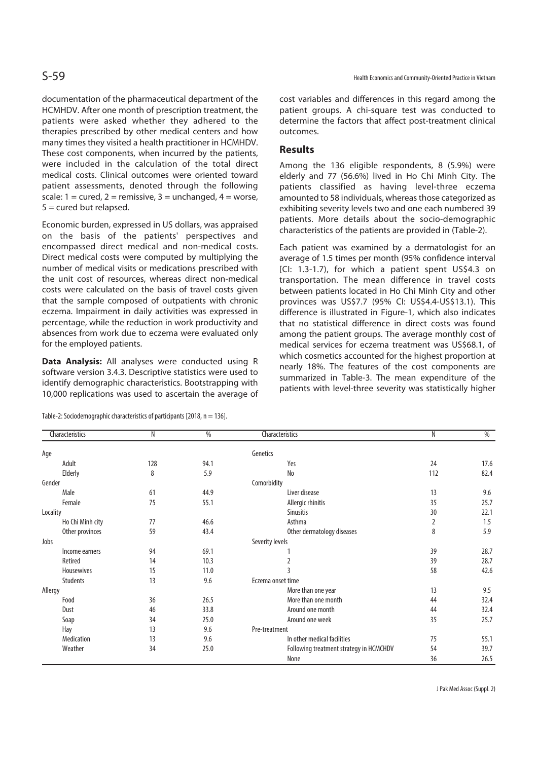documentation of the pharmaceutical department of the HCMHDV. After one month of prescription treatment, the patients were asked whether they adhered to the therapies prescribed by other medical centers and how many times they visited a health practitioner in HCMHDV. These cost components, when incurred by the patients, were included in the calculation of the total direct medical costs. Clinical outcomes were oriented toward patient assessments, denoted through the following scale:  $1 = \text{cured}, 2 = \text{remissive}, 3 = \text{unchanged}, 4 = \text{worse},$ 5 = cured but relapsed.

Economic burden, expressed in US dollars, was appraised on the basis of the patients' perspectives and encompassed direct medical and non-medical costs. Direct medical costs were computed by multiplying the number of medical visits or medications prescribed with the unit cost of resources, whereas direct non-medical costs were calculated on the basis of travel costs given that the sample composed of outpatients with chronic eczema. Impairment in daily activities was expressed in percentage, while the reduction in work productivity and absences from work due to eczema were evaluated only for the employed patients.

**Data Analysis:** All analyses were conducted using R software version 3.4.3. Descriptive statistics were used to identify demographic characteristics. Bootstrapping with 10,000 replications was used to ascertain the average of

| Table-2: Sociodemographic characteristics of participants [2018, n = 136]. |  |  |
|----------------------------------------------------------------------------|--|--|
|----------------------------------------------------------------------------|--|--|

cost variables and differences in this regard among the patient groups. A chi-square test was conducted to determine the factors that affect post-treatment clinical outcomes.

### **Results**

Among the 136 eligible respondents, 8 (5.9%) were elderly and 77 (56.6%) lived in Ho Chi Minh City. The patients classified as having level-three eczema amounted to 58 individuals, whereas those categorized as exhibiting severity levels two and one each numbered 39 patients. More details about the socio-demographic characteristics of the patients are provided in (Table-2).

Each patient was examined by a dermatologist for an average of 1.5 times per month (95% confidence interval [CI: 1.3-1.7), for which a patient spent US\$4.3 on transportation. The mean difference in travel costs between patients located in Ho Chi Minh City and other provinces was US\$7.7 (95% CI: US\$4.4-US\$13.1). This difference is illustrated in Figure-1, which also indicates that no statistical difference in direct costs was found among the patient groups. The average monthly cost of medical services for eczema treatment was US\$68.1, of which cosmetics accounted for the highest proportion at nearly 18%. The features of the cost components are summarized in Table-3. The mean expenditure of the patients with level-three severity was statistically higher

| Characteristics  | N   | %    | Characteristics                         | N              | %    |
|------------------|-----|------|-----------------------------------------|----------------|------|
| Age              |     |      | Genetics                                |                |      |
| Adult            | 128 | 94.1 | Yes                                     | 24             | 17.6 |
| Elderly          | 8   | 5.9  | <b>No</b>                               | 112            | 82.4 |
| Gender           |     |      | Comorbidity                             |                |      |
| Male             | 61  | 44.9 | Liver disease                           | 13             | 9.6  |
| Female           | 75  | 55.1 | Allergic rhinitis                       | 35             | 25.7 |
| Locality         |     |      | <b>Sinusitis</b>                        | 30             | 22.1 |
| Ho Chi Minh city | 77  | 46.6 | Asthma                                  | $\overline{2}$ | 1.5  |
| Other provinces  | 59  | 43.4 | Other dermatology diseases              | 8              | 5.9  |
| Jobs             |     |      | Severity levels                         |                |      |
| Income earners   | 94  | 69.1 |                                         | 39             | 28.7 |
| Retired          | 14  | 10.3 | 2                                       | 39             | 28.7 |
| Housewives       | 15  | 11.0 |                                         | 58             | 42.6 |
| <b>Students</b>  | 13  | 9.6  | Eczema onset time                       |                |      |
| Allergy          |     |      | More than one year                      | 13             | 9.5  |
| Food             | 36  | 26.5 | More than one month                     | 44             | 32.4 |
| Dust             | 46  | 33.8 | Around one month                        | 44             | 32.4 |
| Soap             | 34  | 25.0 | Around one week                         | 35             | 25.7 |
| Hay              | 13  | 9.6  | Pre-treatment                           |                |      |
| Medication       | 13  | 9.6  | In other medical facilities             | 75             | 55.1 |
| Weather          | 34  | 25.0 | Following treatment strategy in HCMCHDV | 54             | 39.7 |
|                  |     |      | None                                    | 36             | 26.5 |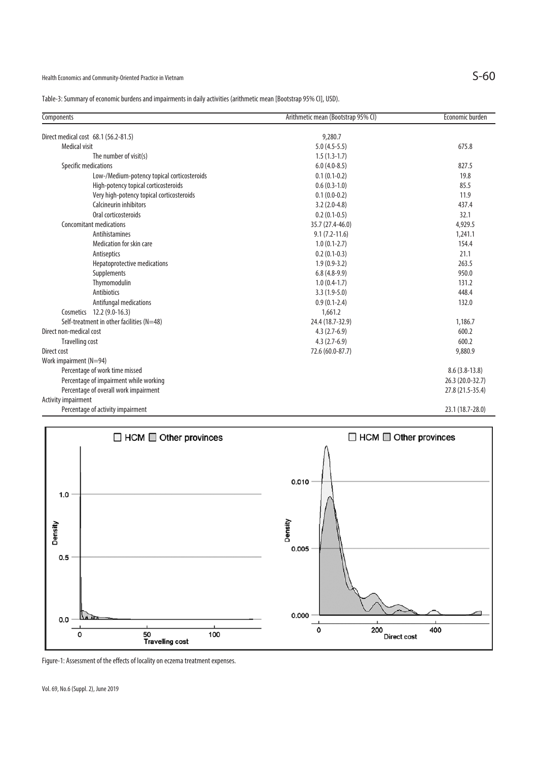Health Economics and Community-Oriented Practice in Vietnam  $S$ -60

Table-3: Summary of economic burdens and impairments in daily activities (arithmetic mean [Bootstrap 95% CI], USD).

| <b>Components</b>                           | Arithmetic mean (Bootstrap 95% CI) | Economic burden  |
|---------------------------------------------|------------------------------------|------------------|
| Direct medical cost 68.1 (56.2-81.5)        | 9,280.7                            |                  |
| <b>Medical visit</b>                        | $5.0(4.5-5.5)$                     | 675.8            |
| The number of visit(s)                      | $1.5(1.3-1.7)$                     |                  |
| Specific medications                        | $6.0(4.0-8.5)$                     | 827.5            |
| Low-/Medium-potency topical corticosteroids | $0.1(0.1-0.2)$                     | 19.8             |
| High-potency topical corticosteroids        | $0.6(0.3-1.0)$                     | 85.5             |
| Very high-potency topical corticosteroids   | $0.1(0.0-0.2)$                     | 11.9             |
| Calcineurin inhibitors                      | $3.2(2.0-4.8)$                     | 437.4            |
| Oral corticosteroids                        | $0.2(0.1-0.5)$                     | 32.1             |
| Concomitant medications                     | 35.7 (27.4-46.0)                   | 4,929.5          |
| <b>Antihistamines</b>                       | $9.1(7.2-11.6)$                    | 1,241.1          |
| Medication for skin care                    | $1.0(0.1-2.7)$                     | 154.4            |
| Antiseptics                                 | $0.2(0.1-0.3)$                     | 21.1             |
| Hepatoprotective medications                | $1.9(0.9-3.2)$                     | 263.5            |
| Supplements                                 | $6.8(4.8-9.9)$                     | 950.0            |
| Thymomodulin                                | $1.0(0.4-1.7)$                     | 131.2            |
| Antibiotics                                 | $3.3(1.9-5.0)$                     | 448.4            |
| Antifungal medications                      | $0.9(0.1-2.4)$                     | 132.0            |
| Cosmetics 12.2 (9.0-16.3)                   | 1,661.2                            |                  |
| Self-treatment in other facilities (N=48)   | 24.4 (18.7-32.9)                   | 1,186.7          |
| Direct non-medical cost                     | $4.3(2.7-6.9)$                     | 600.2            |
| Travelling cost                             | $4.3(2.7-6.9)$                     | 600.2            |
| Direct cost                                 | 72.6 (60.0-87.7)                   | 9,880.9          |
| Work impairment (N=94)                      |                                    |                  |
| Percentage of work time missed              |                                    | $8.6(3.8-13.8)$  |
| Percentage of impairment while working      |                                    | 26.3 (20.0-32.7) |
| Percentage of overall work impairment       |                                    | 27.8 (21.5-35.4) |
| <b>Activity impairment</b>                  |                                    |                  |
| Percentage of activity impairment           |                                    | 23.1 (18.7-28.0) |



Figure-1: Assessment of the effects of locality on eczema treatment expenses.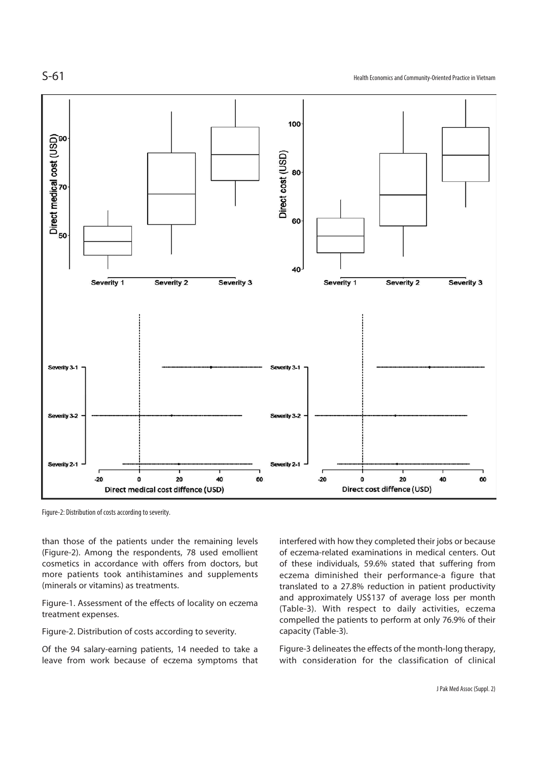

Figure-2: Distribution of costs according to severity.

than those of the patients under the remaining levels (Figure-2). Among the respondents, 78 used emollient cosmetics in accordance with offers from doctors, but more patients took antihistamines and supplements (minerals or vitamins) as treatments.

Figure-1. Assessment of the effects of locality on eczema treatment expenses.

Figure-2. Distribution of costs according to severity.

Of the 94 salary-earning patients, 14 needed to take a leave from work because of eczema symptoms that interfered with how they completed their jobs or because of eczema-related examinations in medical centers. Out of these individuals, 59.6% stated that suffering from eczema diminished their performance-a figure that translated to a 27.8% reduction in patient productivity and approximately US\$137 of average loss per month (Table-3). With respect to daily activities, eczema compelled the patients to perform at only 76.9% of their capacity (Table-3).

Figure-3 delineates the effects of the month-long therapy, with consideration for the classification of clinical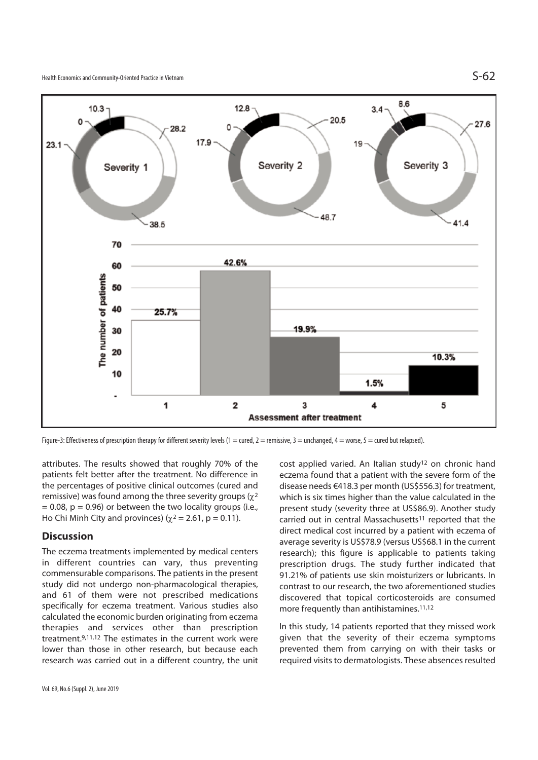

Figure-3: Effectiveness of prescription therapy for different severity levels (1 = cured, 2 = remissive, 3 = unchanged, 4 = worse, 5 = cured but relapsed).

attributes. The results showed that roughly 70% of the patients felt better after the treatment. No difference in the percentages of positive clinical outcomes (cured and remissive) was found among the three severity groups  $(y^2)$  $= 0.08$ ,  $p = 0.96$ ) or between the two locality groups (i.e., Ho Chi Minh City and provinces) ( $\chi^2$  = 2.61, p = 0.11).

### **Discussion**

The eczema treatments implemented by medical centers in different countries can vary, thus preventing commensurable comparisons. The patients in the present study did not undergo non-pharmacological therapies, and 61 of them were not prescribed medications specifically for eczema treatment. Various studies also calculated the economic burden originating from eczema therapies and services other than prescription treatment.9,11,12 The estimates in the current work were lower than those in other research, but because each research was carried out in a different country, the unit cost applied varied. An Italian study<sup>12</sup> on chronic hand eczema found that a patient with the severe form of the disease needs €418.3 per month (US\$556.3) for treatment, which is six times higher than the value calculated in the present study (severity three at US\$86.9). Another study carried out in central Massachusetts<sup>11</sup> reported that the direct medical cost incurred by a patient with eczema of average severity is US\$78.9 (versus US\$68.1 in the current research); this figure is applicable to patients taking prescription drugs. The study further indicated that 91.21% of patients use skin moisturizers or lubricants. In contrast to our research, the two aforementioned studies discovered that topical corticosteroids are consumed more frequently than antihistamines.11,12

In this study, 14 patients reported that they missed work given that the severity of their eczema symptoms prevented them from carrying on with their tasks or required visits to dermatologists. These absences resulted